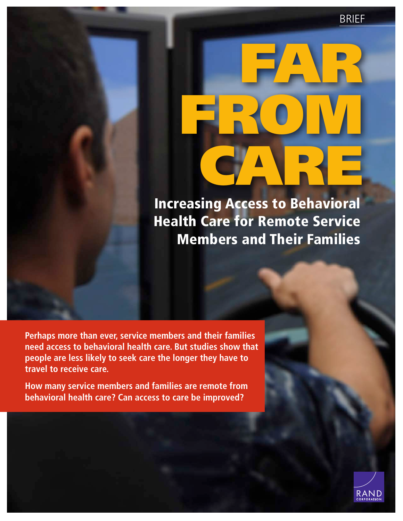BRIEF

# [FROM](http://www.rand.org/pubs/research_briefs/RB9790.html)  CARE

FAR

Increasing Access to Behavioral Health Care for Remote Service Members and Their Families

**Perhaps more than ever, service members and their families need access to behavioral health care. But studies show that people are less likely to seek care the longer they have to travel to receive care.**

**How many service members and families are remote from behavioral health care? Can access to care be improved?**

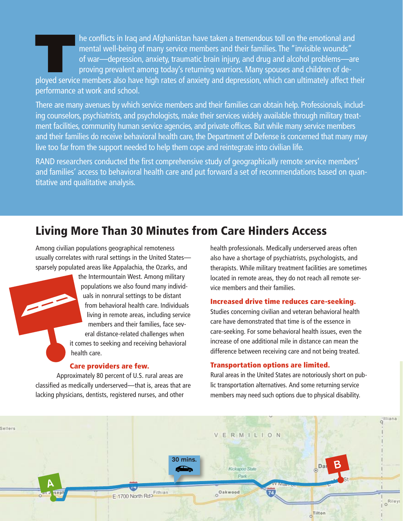In the conflicts in Iraq and Afghanistan have taken a tremendous toll on the emotional and<br>
mental well-being of many service members and their families. The "invisible wounds"<br>
of war—depression, anxiety, traumatic brain mental well-being of many service members and their families. The "invisible wounds" of war—depression, anxiety, traumatic brain injury, and drug and alcohol problems—are proving prevalent among today's returning warriors. Many spouses and children of de-

performance at work and school.

There are many avenues by which service members and their families can obtain help. Professionals, including counselors, psychiatrists, and psychologists, make their services widely available through military treatment facilities, community human service agencies, and private offices. But while many service members and their families do receive behavioral health care, the Department of Defense is concerned that many may live too far from the support needed to help them cope and reintegrate into civilian life.

RAND researchers conducted the first comprehensive study of geographically remote service members' and families' access to behavioral health care and put forward a set of recommendations based on quantitative and qualitative analysis.

# Living More Than 30 Minutes from Care Hinders Access

Among civilian populations geographical remoteness usually correlates with rural settings in the United States sparsely populated areas like Appalachia, the Ozarks, and

> the Intermountain West. Among military populations we also found many individuals in nonrural settings to be distant from behavioral health care. Individuals living in remote areas, including service members and their families, face several distance-related challenges when it comes to seeking and receiving behavioral health care.

#### Care providers are few.

Approximately 80 percent of U.S. rural areas are classified as medically underserved—that is, areas that are lacking physicians, dentists, registered nurses, and other

health professionals. Medically underserved areas often also have a shortage of psychiatrists, psychologists, and therapists. While military treatment facilities are sometimes located in remote areas, they do not reach all remote service members and their families.

#### Increased drive time reduces care-seeking.

Studies concerning civilian and veteran behavioral health care have demonstrated that time is of the essence in care-seeking. For some behavioral health issues, even the increase of one additional mile in distance can mean the difference between receiving care and not being treated.

#### Transportation options are limited.

Rural areas in the United States are notoriously short on public transportation alternatives. And some returning service members may need such options due to physical disability.

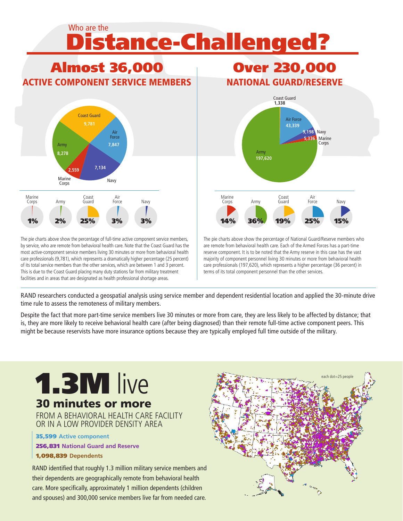# Distance-Challenged? Who are the



The pie charts above show the percentage of full-time active component service members, by service, who are remote from behavioral health care. Note that the Coast Guard has the most active-component service members living 30 minutes or more from behavioral health care professionals (9,781), which represents a dramatically higher percentage (25 percent) of its total service members than the other services, which are between 1 and 3 percent. This is due to the Coast Guard placing many duty stations far from military treatment facilities and in areas that are designated as health professional shortage areas.

# Over 230,000 NATIONAL GUARD/RESERVE



The pie charts above show the percentage of National Guard/Reserve members who are remote from behavioral health care. Each of the Armed Forces has a part-time reserve component. It is to be noted that the Army reserve in this case has the vast majority of component personnel living 30 minutes or more from behavioral health care professionals (197,620), which represents a higher percentage (36 percent) in terms of its total component personnel than the other services.

RAND researchers conducted a geospatial analysis using service member and dependent residential location and applied the 30-minute drive time rule to assess the remoteness of military members.

Despite the fact that more part-time service members live 30 minutes or more from care, they are less likely to be affected by distance; that is, they are more likely to receive behavioral health care (after being diagnosed) than their remote full-time active component peers. This might be because reservists have more insurance options because they are typically employed full time outside of the military.

# 1.3M live 30 minutes or more FROM A REHAVIORAL HEALTH CARE FACILITY OR IN A LOW PROVIDER DENSITY AREA 35,599 **Active component** 256,831 **National Guard and Reserve** 1,098,839 **Dependents**

RAND identified that roughly 1.3 million military service members and their dependents are geographically remote from behavioral health care. More specifically, approximately 1 million dependents (children and spouses) and 300,000 service members live far from needed care.